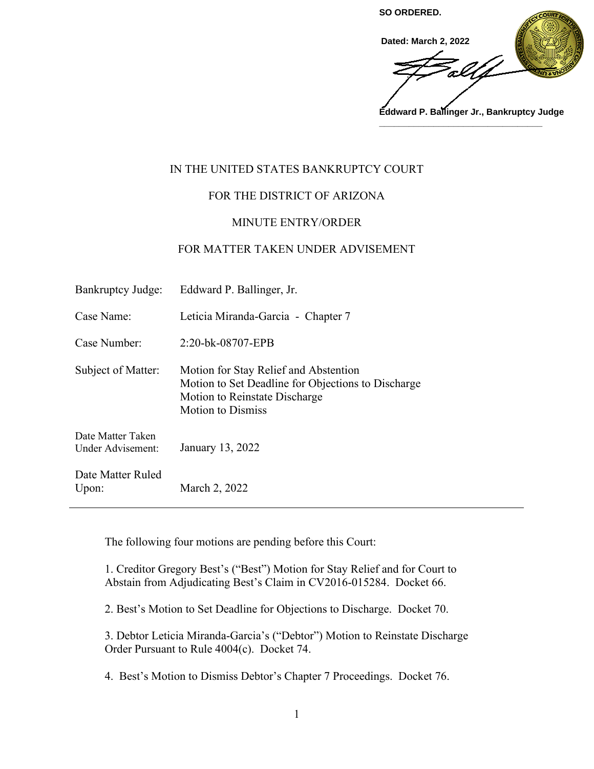

# IN THE UNITED STATES BANKRUPTCY COURT

# FOR THE DISTRICT OF ARIZONA

## MINUTE ENTRY/ORDER

### FOR MATTER TAKEN UNDER ADVISEMENT

| Bankruptcy Judge:                      | Eddward P. Ballinger, Jr.                                                                                                                                |
|----------------------------------------|----------------------------------------------------------------------------------------------------------------------------------------------------------|
| Case Name:                             | Leticia Miranda-Garcia - Chapter 7                                                                                                                       |
| Case Number:                           | 2:20-bk-08707-EPB                                                                                                                                        |
| Subject of Matter:                     | Motion for Stay Relief and Abstention<br>Motion to Set Deadline for Objections to Discharge<br>Motion to Reinstate Discharge<br><b>Motion to Dismiss</b> |
| Date Matter Taken<br>Under Advisement: | January 13, 2022                                                                                                                                         |
| Date Matter Ruled<br>Upon:             | March 2, 2022                                                                                                                                            |

The following four motions are pending before this Court:

1. Creditor Gregory Best's ("Best") Motion for Stay Relief and for Court to Abstain from Adjudicating Best's Claim in CV2016-015284. Docket 66.

2. Best's Motion to Set Deadline for Objections to Discharge. Docket 70.

3. Debtor Leticia Miranda-Garcia's ("Debtor") Motion to Reinstate Discharge Order Pursuant to Rule 4004(c). Docket 74.

4. Best's Motion to Dismiss Debtor's Chapter 7 Proceedings. Docket 76.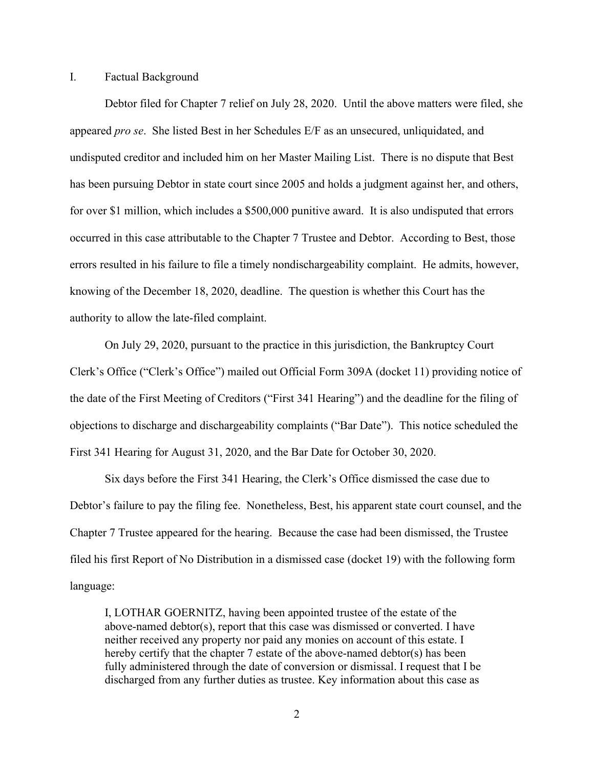#### I. Factual Background

 Debtor filed for Chapter 7 relief on July 28, 2020. Until the above matters were filed, she appeared *pro se*. She listed Best in her Schedules E/F as an unsecured, unliquidated, and undisputed creditor and included him on her Master Mailing List. There is no dispute that Best has been pursuing Debtor in state court since 2005 and holds a judgment against her, and others, for over \$1 million, which includes a \$500,000 punitive award. It is also undisputed that errors occurred in this case attributable to the Chapter 7 Trustee and Debtor. According to Best, those errors resulted in his failure to file a timely nondischargeability complaint. He admits, however, knowing of the December 18, 2020, deadline. The question is whether this Court has the authority to allow the late-filed complaint.

 On July 29, 2020, pursuant to the practice in this jurisdiction, the Bankruptcy Court Clerk's Office ("Clerk's Office") mailed out Official Form 309A (docket 11) providing notice of the date of the First Meeting of Creditors ("First 341 Hearing") and the deadline for the filing of objections to discharge and dischargeability complaints ("Bar Date"). This notice scheduled the First 341 Hearing for August 31, 2020, and the Bar Date for October 30, 2020.

Six days before the First 341 Hearing, the Clerk's Office dismissed the case due to Debtor's failure to pay the filing fee. Nonetheless, Best, his apparent state court counsel, and the Chapter 7 Trustee appeared for the hearing. Because the case had been dismissed, the Trustee filed his first Report of No Distribution in a dismissed case (docket 19) with the following form language:

I, LOTHAR GOERNITZ, having been appointed trustee of the estate of the above-named debtor(s), report that this case was dismissed or converted. I have neither received any property nor paid any monies on account of this estate. I hereby certify that the chapter 7 estate of the above-named debtor(s) has been fully administered through the date of conversion or dismissal. I request that I be discharged from any further duties as trustee. Key information about this case as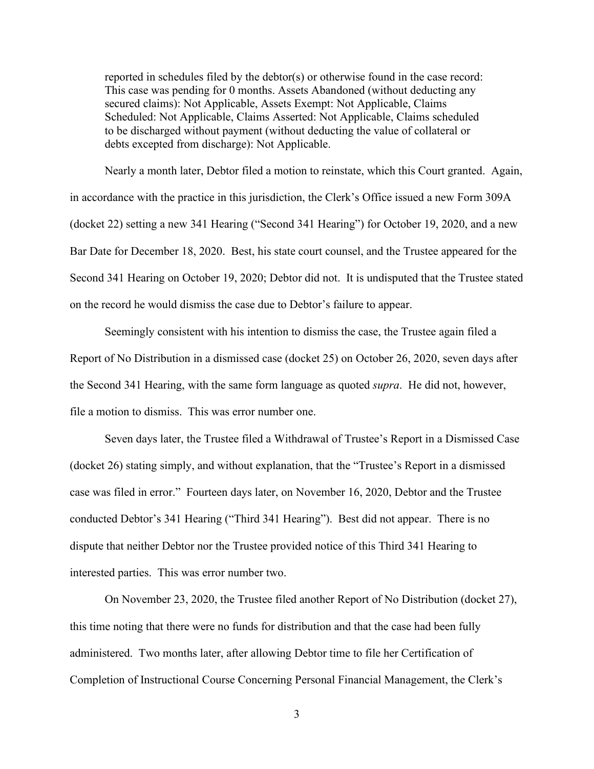reported in schedules filed by the debtor(s) or otherwise found in the case record: This case was pending for 0 months. Assets Abandoned (without deducting any secured claims): Not Applicable, Assets Exempt: Not Applicable, Claims Scheduled: Not Applicable, Claims Asserted: Not Applicable, Claims scheduled to be discharged without payment (without deducting the value of collateral or debts excepted from discharge): Not Applicable.

Nearly a month later, Debtor filed a motion to reinstate, which this Court granted. Again, in accordance with the practice in this jurisdiction, the Clerk's Office issued a new Form 309A (docket 22) setting a new 341 Hearing ("Second 341 Hearing") for October 19, 2020, and a new Bar Date for December 18, 2020. Best, his state court counsel, and the Trustee appeared for the Second 341 Hearing on October 19, 2020; Debtor did not. It is undisputed that the Trustee stated on the record he would dismiss the case due to Debtor's failure to appear.

 Seemingly consistent with his intention to dismiss the case, the Trustee again filed a Report of No Distribution in a dismissed case (docket 25) on October 26, 2020, seven days after the Second 341 Hearing, with the same form language as quoted *supra*. He did not, however, file a motion to dismiss. This was error number one.

 Seven days later, the Trustee filed a Withdrawal of Trustee's Report in a Dismissed Case (docket 26) stating simply, and without explanation, that the "Trustee's Report in a dismissed case was filed in error." Fourteen days later, on November 16, 2020, Debtor and the Trustee conducted Debtor's 341 Hearing ("Third 341 Hearing"). Best did not appear. There is no dispute that neither Debtor nor the Trustee provided notice of this Third 341 Hearing to interested parties. This was error number two.

On November 23, 2020, the Trustee filed another Report of No Distribution (docket 27), this time noting that there were no funds for distribution and that the case had been fully administered. Two months later, after allowing Debtor time to file her Certification of Completion of Instructional Course Concerning Personal Financial Management, the Clerk's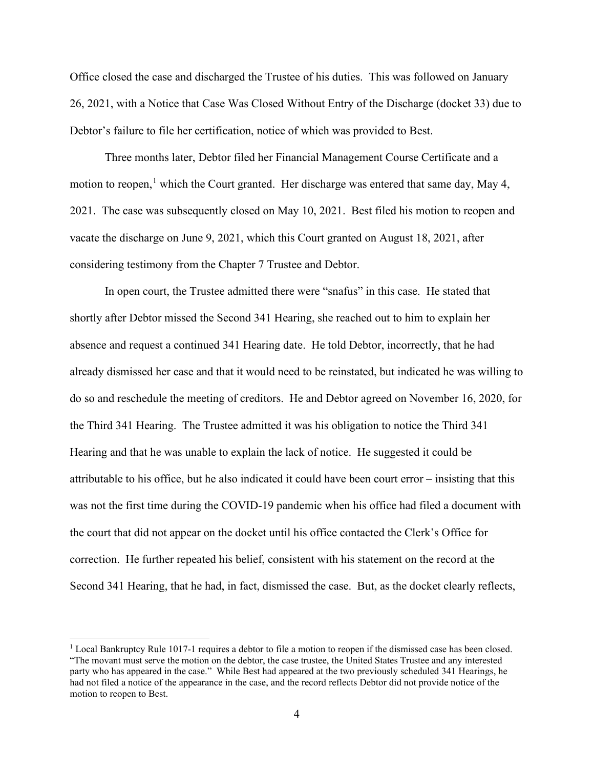Office closed the case and discharged the Trustee of his duties. This was followed on January 26, 2021, with a Notice that Case Was Closed Without Entry of the Discharge (docket 33) due to Debtor's failure to file her certification, notice of which was provided to Best.

 Three months later, Debtor filed her Financial Management Course Certificate and a motion to reopen,<sup>1</sup> which the Court granted. Her discharge was entered that same day, May 4, 2021. The case was subsequently closed on May 10, 2021. Best filed his motion to reopen and vacate the discharge on June 9, 2021, which this Court granted on August 18, 2021, after considering testimony from the Chapter 7 Trustee and Debtor.

 In open court, the Trustee admitted there were "snafus" in this case. He stated that shortly after Debtor missed the Second 341 Hearing, she reached out to him to explain her absence and request a continued 341 Hearing date. He told Debtor, incorrectly, that he had already dismissed her case and that it would need to be reinstated, but indicated he was willing to do so and reschedule the meeting of creditors. He and Debtor agreed on November 16, 2020, for the Third 341 Hearing. The Trustee admitted it was his obligation to notice the Third 341 Hearing and that he was unable to explain the lack of notice. He suggested it could be attributable to his office, but he also indicated it could have been court error – insisting that this was not the first time during the COVID-19 pandemic when his office had filed a document with the court that did not appear on the docket until his office contacted the Clerk's Office for correction. He further repeated his belief, consistent with his statement on the record at the Second 341 Hearing, that he had, in fact, dismissed the case. But, as the docket clearly reflects,

<sup>&</sup>lt;sup>1</sup> Local Bankruptcy Rule 1017-1 requires a debtor to file a motion to reopen if the dismissed case has been closed. "The movant must serve the motion on the debtor, the case trustee, the United States Trustee and any interested party who has appeared in the case." While Best had appeared at the two previously scheduled 341 Hearings, he had not filed a notice of the appearance in the case, and the record reflects Debtor did not provide notice of the motion to reopen to Best.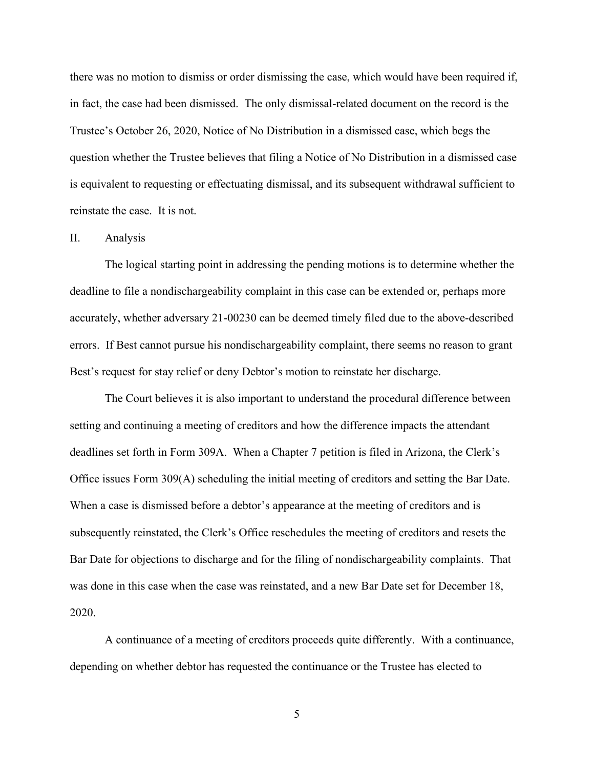there was no motion to dismiss or order dismissing the case, which would have been required if, in fact, the case had been dismissed. The only dismissal-related document on the record is the Trustee's October 26, 2020, Notice of No Distribution in a dismissed case, which begs the question whether the Trustee believes that filing a Notice of No Distribution in a dismissed case is equivalent to requesting or effectuating dismissal, and its subsequent withdrawal sufficient to reinstate the case. It is not.

#### II. Analysis

 The logical starting point in addressing the pending motions is to determine whether the deadline to file a nondischargeability complaint in this case can be extended or, perhaps more accurately, whether adversary 21-00230 can be deemed timely filed due to the above-described errors. If Best cannot pursue his nondischargeability complaint, there seems no reason to grant Best's request for stay relief or deny Debtor's motion to reinstate her discharge.

 The Court believes it is also important to understand the procedural difference between setting and continuing a meeting of creditors and how the difference impacts the attendant deadlines set forth in Form 309A. When a Chapter 7 petition is filed in Arizona, the Clerk's Office issues Form 309(A) scheduling the initial meeting of creditors and setting the Bar Date. When a case is dismissed before a debtor's appearance at the meeting of creditors and is subsequently reinstated, the Clerk's Office reschedules the meeting of creditors and resets the Bar Date for objections to discharge and for the filing of nondischargeability complaints. That was done in this case when the case was reinstated, and a new Bar Date set for December 18, 2020.

 A continuance of a meeting of creditors proceeds quite differently. With a continuance, depending on whether debtor has requested the continuance or the Trustee has elected to

5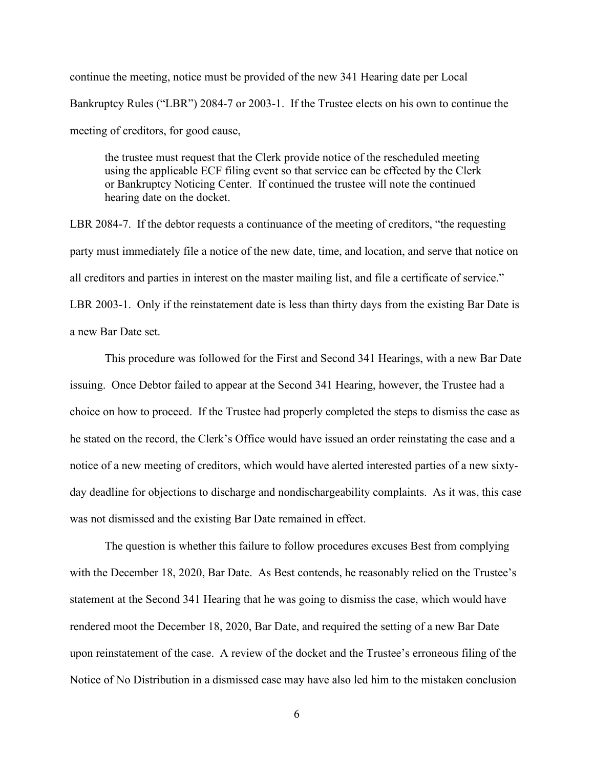continue the meeting, notice must be provided of the new 341 Hearing date per Local Bankruptcy Rules ("LBR") 2084-7 or 2003-1. If the Trustee elects on his own to continue the meeting of creditors, for good cause,

the trustee must request that the Clerk provide notice of the rescheduled meeting using the applicable ECF filing event so that service can be effected by the Clerk or Bankruptcy Noticing Center. If continued the trustee will note the continued hearing date on the docket.

LBR 2084-7. If the debtor requests a continuance of the meeting of creditors, "the requesting party must immediately file a notice of the new date, time, and location, and serve that notice on all creditors and parties in interest on the master mailing list, and file a certificate of service." LBR 2003-1. Only if the reinstatement date is less than thirty days from the existing Bar Date is a new Bar Date set.

This procedure was followed for the First and Second 341 Hearings, with a new Bar Date issuing. Once Debtor failed to appear at the Second 341 Hearing, however, the Trustee had a choice on how to proceed. If the Trustee had properly completed the steps to dismiss the case as he stated on the record, the Clerk's Office would have issued an order reinstating the case and a notice of a new meeting of creditors, which would have alerted interested parties of a new sixtyday deadline for objections to discharge and nondischargeability complaints. As it was, this case was not dismissed and the existing Bar Date remained in effect.

 The question is whether this failure to follow procedures excuses Best from complying with the December 18, 2020, Bar Date. As Best contends, he reasonably relied on the Trustee's statement at the Second 341 Hearing that he was going to dismiss the case, which would have rendered moot the December 18, 2020, Bar Date, and required the setting of a new Bar Date upon reinstatement of the case. A review of the docket and the Trustee's erroneous filing of the Notice of No Distribution in a dismissed case may have also led him to the mistaken conclusion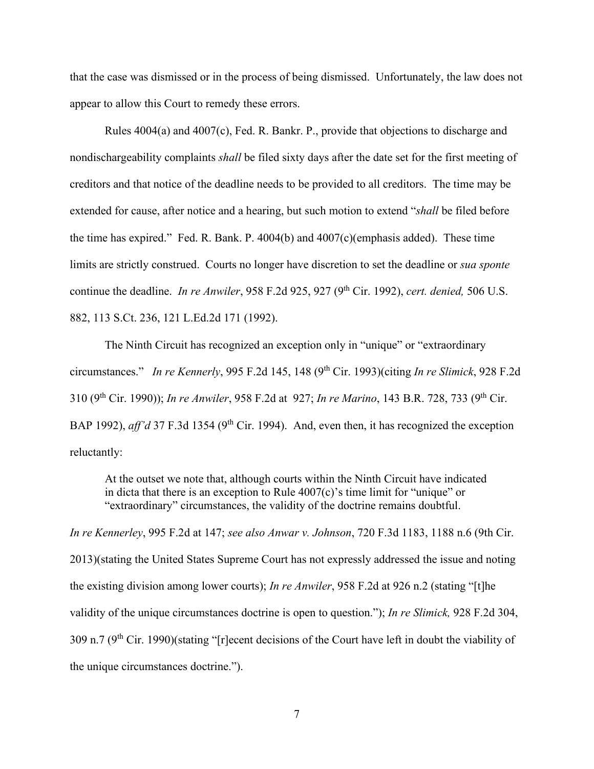that the case was dismissed or in the process of being dismissed. Unfortunately, the law does not appear to allow this Court to remedy these errors.

 Rules 4004(a) and 4007(c), Fed. R. Bankr. P., provide that objections to discharge and nondischargeability complaints *shall* be filed sixty days after the date set for the first meeting of creditors and that notice of the deadline needs to be provided to all creditors. The time may be extended for cause, after notice and a hearing, but such motion to extend "*shall* be filed before the time has expired." Fed. R. Bank. P. 4004(b) and 4007(c)(emphasis added). These time limits are strictly construed. Courts no longer have discretion to set the deadline or *sua sponte* continue the deadline. *In re Anwiler*, 958 F.2d 925, 927 (9<sup>th</sup> Cir. 1992), *cert. denied*, 506 U.S. 882, 113 S.Ct. 236, 121 L.Ed.2d 171 (1992).

 The Ninth Circuit has recognized an exception only in "unique" or "extraordinary circumstances." *In re Kennerly*, 995 F.2d 145, 148 (9<sup>th</sup> Cir. 1993)(citing *In re Slimick*, 928 F.2d 310 (9th Cir. 1990)); *In re Anwiler*, 958 F.2d at 927; *In re Marino*, 143 B.R. 728, 733 (9th Cir. BAP 1992), *aff'd* 37 F.3d 1354 (9<sup>th</sup> Cir. 1994). And, even then, it has recognized the exception reluctantly:

At the outset we note that, although courts within the Ninth Circuit have indicated in dicta that there is an exception to Rule  $4007(c)$ 's time limit for "unique" or "extraordinary" circumstances, the validity of the doctrine remains doubtful.

*In re Kennerley*, 995 F.2d at 147; *see also Anwar v. Johnson*, 720 F.3d 1183, 1188 n.6 (9th Cir. 2013)(stating the United States Supreme Court has not expressly addressed the issue and noting the existing division among lower courts); *In re Anwiler*, 958 F.2d at 926 n.2 (stating "[t]he validity of the unique circumstances doctrine is open to question."); *In re Slimick,* 928 F.2d 304, 309 n.7 (9th Cir. 1990)(stating "[r]ecent decisions of the Court have left in doubt the viability of the unique circumstances doctrine.").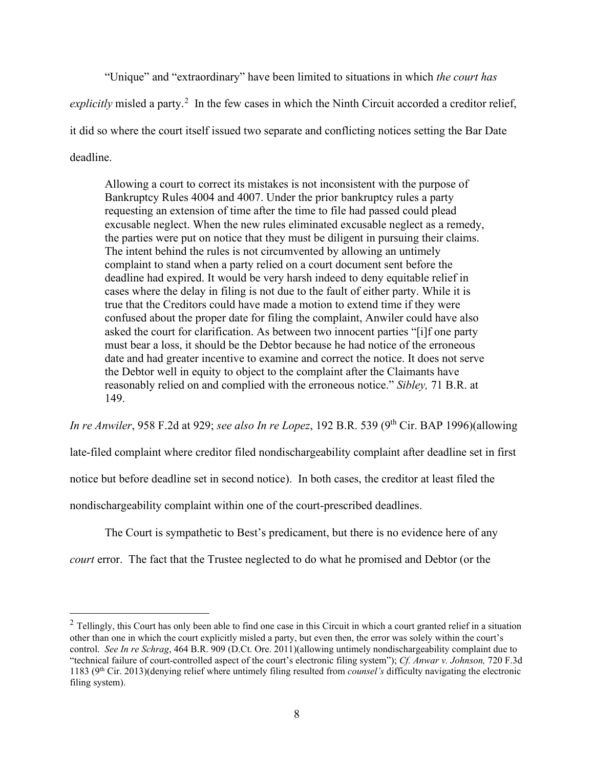"Unique" and "extraordinary" have been limited to situations in which *the court has*  explicitly misled a party.<sup>2</sup> In the few cases in which the Ninth Circuit accorded a creditor relief, it did so where the court itself issued two separate and conflicting notices setting the Bar Date deadline.

Allowing a court to correct its mistakes is not inconsistent with the purpose of Bankruptcy Rules 4004 and 4007. Under the prior bankruptcy rules a party requesting an extension of time after the time to file had passed could plead excusable neglect. When the new rules eliminated excusable neglect as a remedy, the parties were put on notice that they must be diligent in pursuing their claims. The intent behind the rules is not circumvented by allowing an untimely complaint to stand when a party relied on a court document sent before the deadline had expired. It would be very harsh indeed to deny equitable relief in cases where the delay in filing is not due to the fault of either party. While it is true that the Creditors could have made a motion to extend time if they were confused about the proper date for filing the complaint, Anwiler could have also asked the court for clarification. As between two innocent parties "[i]f one party must bear a loss, it should be the Debtor because he had notice of the erroneous date and had greater incentive to examine and correct the notice. It does not serve the Debtor well in equity to object to the complaint after the Claimants have reasonably relied on and complied with the erroneous notice." *Sibley,* 71 B.R. at 149.

*In re Anwiler*, 958 F.2d at 929; *see also In re Lopez*, 192 B.R. 539 (9th Cir. BAP 1996)(allowing

late-filed complaint where creditor filed nondischargeability complaint after deadline set in first

notice but before deadline set in second notice). In both cases, the creditor at least filed the

nondischargeability complaint within one of the court-prescribed deadlines.

The Court is sympathetic to Best's predicament, but there is no evidence here of any

*court* error. The fact that the Trustee neglected to do what he promised and Debtor (or the

 $2$  Tellingly, this Court has only been able to find one case in this Circuit in which a court granted relief in a situation other than one in which the court explicitly misled a party, but even then, the error was solely within the court's control. *See In re Schrag*, 464 B.R. 909 (D.Ct. Ore. 2011)(allowing untimely nondischargeability complaint due to "technical failure of court-controlled aspect of the court's electronic filing system"); *Cf. Anwar v. Johnson,* 720 F.3d 1183 (9th Cir. 2013)(denying relief where untimely filing resulted from *counsel's* difficulty navigating the electronic filing system).